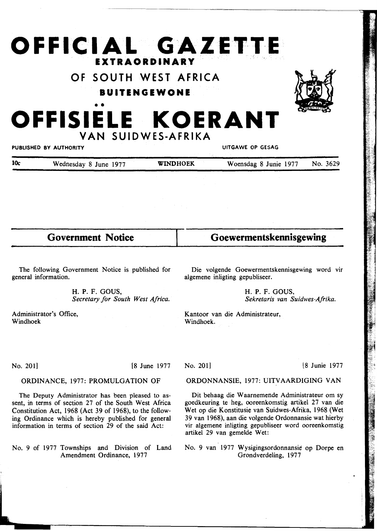# **OFFICIAL GAZETTE EXTRAORDINARY**

# **OF SOUTH WEST AFRICA**

#### **IUITENGEWONE**



# • • **OFFISIELE KOERANT VAN SUIDWES-AFRIKA**

PUBLISHED BY AUTHORITY UITGAWE OP GESAG

| 10 <sub>c</sub> | Wednesday 8 June 1977 | <b>WINDHOEK</b> | Woensdag 8 Junie 1977 | No. 3629 |
|-----------------|-----------------------|-----------------|-----------------------|----------|
|                 |                       |                 |                       |          |

**Government Notice** 

The following Government Notice is published for general information.

> H. P. F. GOUS, *Secretary for South West Africa.*

Administrator's Office, Windhoek

**Goewermentskennisgewing** 

Die volgende Goewermentskennisgewing word vir algemene inligting gepubliseer.

> H. P. F. GOUS, *Sekretaris van Suidwes-Afrika.*

Kantoor van die Administrateur, Windhoek.

No. 201] [8 June 1977

## ORDONNANSIE, 1977: UITVAARDIGING VAN

Dit behaag die W aarnemende Administrateur om sy goedkeuring te heg, ooreenkomstig artikel 27 van die Wet op die Konstitusie van Suidwes-Afrika, 1968 (Wet 39 van 1968), aan die volgende Ordonnansie wat hierby vir algemene inligting gepubliseer word ooreenkomstig artikel 29 van gemelde Wet:

No. 9 van 1977 Wysigingsordonnansie op Dorpe en Grondverdeling, 1977

ORDINANCE, 1977: PROMULGATION OF

The Deputy Administrator has been pleased to assent, in terms of section 27 of the South West Africa Constitution Act, 1968 (Act 39 of 1968), to the following Ordinance which is hereby published for general information in terms of section 29 of the said Act:

No. 9 of 1977 Townships and Division of Land Amendment Ordinance, 1977

No. 201] [8 Junie 1977